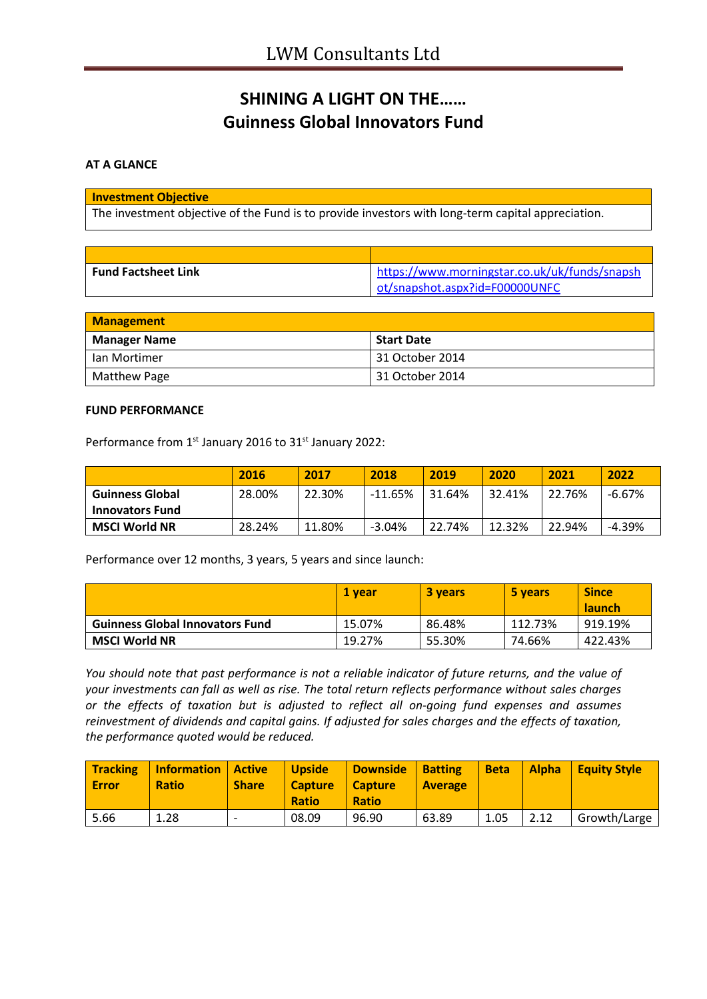# **SHINING A LIGHT ON THE…… Guinness Global Innovators Fund**

## **AT A GLANCE**

### **Investment Objective**

The investment objective of the Fund is to provide investors with long-term capital appreciation.

| <b>Fund Factsheet Link</b> | https://www.morningstar.co.uk/uk/funds/snapsh |
|----------------------------|-----------------------------------------------|
|                            | ot/snapshot.aspx?id=F00000UNFC                |

| <b>Management</b>   |                   |  |
|---------------------|-------------------|--|
| <b>Manager Name</b> | <b>Start Date</b> |  |
| l Ian Mortimer      | 31 October 2014   |  |
| Matthew Page        | 31 October 2014   |  |

#### **FUND PERFORMANCE**

Performance from 1<sup>st</sup> January 2016 to 31<sup>st</sup> January 2022:

|                        | 2016   | 2017   | 2018      | 2019   | 2020   | 2021   | 2022     |
|------------------------|--------|--------|-----------|--------|--------|--------|----------|
| <b>Guinness Global</b> | 28.00% | 22.30% | $-11.65%$ | 31.64% | 32.41% | 22.76% | $-6.67%$ |
| <b>Innovators Fund</b> |        |        |           |        |        |        |          |
| <b>MSCI World NR</b>   | 28.24% | 11.80% | $-3.04%$  | 22.74% | 12.32% | 22.94% | $-4.39%$ |

Performance over 12 months, 3 years, 5 years and since launch:

|                                        | 1 vear | <b>3 years</b> | 5 years | <b>Since</b><br><b>launch</b> |
|----------------------------------------|--------|----------------|---------|-------------------------------|
| <b>Guinness Global Innovators Fund</b> | 15.07% | 86.48%         | 112.73% | 919.19%                       |
| <b>MSCI World NR</b>                   | 19.27% | 55.30%         | 74.66%  | 422.43%                       |

*You should note that past performance is not a reliable indicator of future returns, and the value of your investments can fall as well as rise. The total return reflects performance without sales charges or the effects of taxation but is adjusted to reflect all on-going fund expenses and assumes reinvestment of dividends and capital gains. If adjusted for sales charges and the effects of taxation, the performance quoted would be reduced.*

| <b>Tracking</b><br><b>Error</b> | <b>Information   Active</b><br><b>Ratio</b> | <b>Share</b> | <b>Upside</b><br><b>Capture</b><br><b>Ratio</b> | <b>Downside</b><br><b>Capture</b><br><b>Ratio</b> | <b>Batting</b><br><b>Average</b> | <b>Beta</b> | <b>Alpha</b> | <b>Equity Style</b> |
|---------------------------------|---------------------------------------------|--------------|-------------------------------------------------|---------------------------------------------------|----------------------------------|-------------|--------------|---------------------|
| 5.66                            | 1.28                                        | -            | 08.09                                           | 96.90                                             | 63.89                            | 1.05        | 2.12         | Growth/Large        |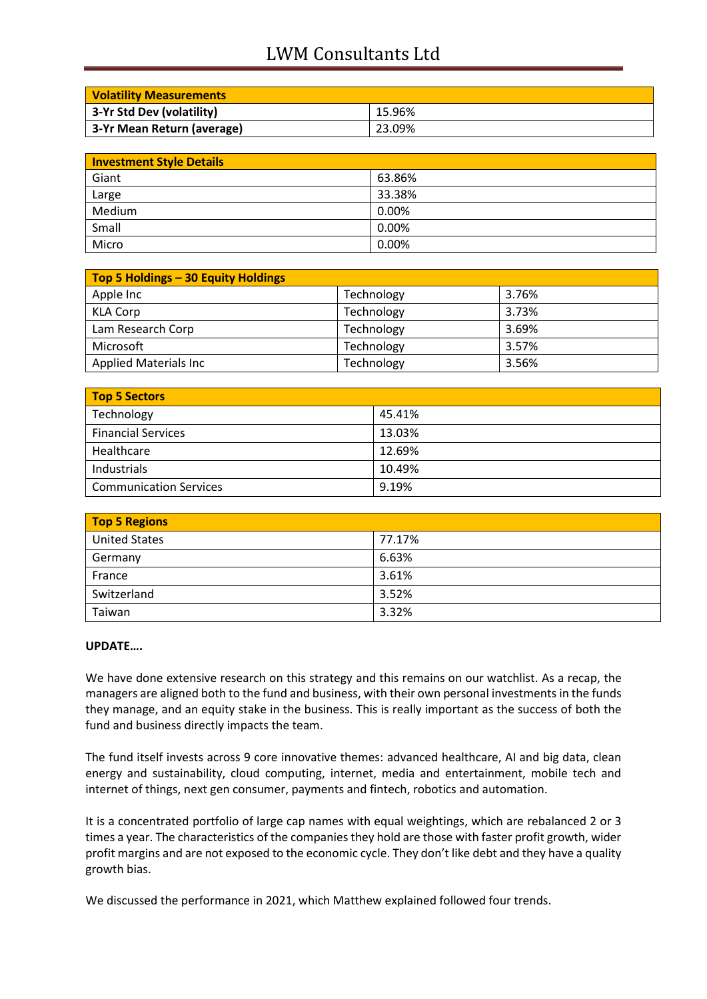## LWM Consultants Ltd

| <b>Volatility Measurements</b> |        |
|--------------------------------|--------|
| 3-Yr Std Dev (volatility)      | 15.96% |
| 3-Yr Mean Return (average)     | 23.09% |

| <b>Investment Style Details</b> |        |
|---------------------------------|--------|
| Giant                           | 63.86% |
| Large                           | 33.38% |
| Medium                          | 0.00%  |
| Small                           | 0.00%  |
| Micro                           | 0.00%  |

| Top 5 Holdings - 30 Equity Holdings |            |       |
|-------------------------------------|------------|-------|
| Apple Inc                           | Technology | 3.76% |
| <b>KLA Corp</b>                     | Technology | 3.73% |
| Lam Research Corp                   | Technology | 3.69% |
| Microsoft                           | Technology | 3.57% |
| <b>Applied Materials Inc</b>        | Technology | 3.56% |

| Top 5 Sectors                 |        |
|-------------------------------|--------|
| Technology                    | 45.41% |
| <b>Financial Services</b>     | 13.03% |
| Healthcare                    | 12.69% |
| Industrials                   | 10.49% |
| <b>Communication Services</b> | 9.19%  |

| <b>Top 5 Regions</b> |        |  |
|----------------------|--------|--|
| <b>United States</b> | 77.17% |  |
| Germany              | 6.63%  |  |
| France               | 3.61%  |  |
| Switzerland          | 3.52%  |  |
| Taiwan               | 3.32%  |  |

### **UPDATE….**

We have done extensive research on this strategy and this remains on our watchlist. As a recap, the managers are aligned both to the fund and business, with their own personal investments in the funds they manage, and an equity stake in the business. This is really important as the success of both the fund and business directly impacts the team.

The fund itself invests across 9 core innovative themes: advanced healthcare, AI and big data, clean energy and sustainability, cloud computing, internet, media and entertainment, mobile tech and internet of things, next gen consumer, payments and fintech, robotics and automation.

It is a concentrated portfolio of large cap names with equal weightings, which are rebalanced 2 or 3 times a year. The characteristics of the companies they hold are those with faster profit growth, wider profit margins and are not exposed to the economic cycle. They don't like debt and they have a quality growth bias.

We discussed the performance in 2021, which Matthew explained followed four trends.